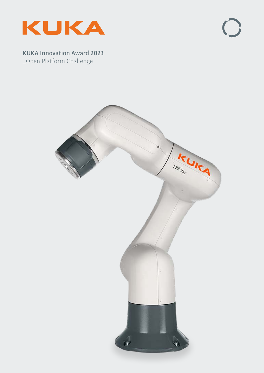

 $\bigcirc$ 

**KUKA Innovation Award 2023** \_Open Platform Challenge

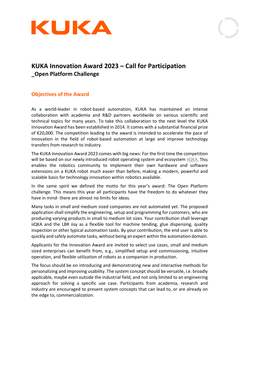



# **KUKA Innovation Award 2023 – Call for Participation \_Open Platform Challenge**

### **Objectives of the Award**

As a world-leader in robot-based automation, KUKA has maintained an intense collaboration with academia and R&D partners worldwide on various scientific and technical topics for many years. To take this collaboration to the next level the KUKA Innovation Award has been established in 2014. It comes with a substantial financial prize of €20,000. The competition leading to the award is intended to accelerate the pace of innovation in the field of robot-based automation at large and improve technology transfers from research to industry.

The KUKA Innovation Award 2023 comes with big news: For the first time the competition will be based on our newly introduced robot operating system and ecosystem [iiQKA.](https://www.kuka.com/de-de/future-production/iiqka) This enables the robotics community to implement their own hardware and software extensions on a KUKA robot much easier than before, making a modern, powerful and scalable basis for technology innovation within robotics available.

In the same spirit we defined the motto for this year's award: The Open Platform challenge. This means this year all participants have the freedom to do whatever they have in mind- there are almost no limits for ideas.

Many tasks in small and medium sized companies are not automated yet. The proposed application shall simplify the engineering, setup and programming for customers, who are producing varying products in small to medium lot sizes. Your contribution shall leverage iiQKA and the LBR iisy as a flexible tool for machine tending, glue dispensing, quality inspection or other typical automation tasks. By your contribution, the end user is able to quickly and safely automate tasks, without being an expert within the automation domain.

Applicants for the Innovation Award are invited to select use cases, small and medium sized enterprises can benefit from, e.g., simplified setup and commissioning, intuitive operation, and flexible utilization of robots as a companion in production.

The focus should be on introducing and demonstrating new and interactive methods for personalizing and improving usability. The system concept should be versatile, i.e. broadly applicable, maybe even outside the industrial field, and not only limited to an engineering approach for solving a specific use case. Participants from academia, research and industry are encouraged to present system concepts that can lead to, or are already on the edge to, commercialization.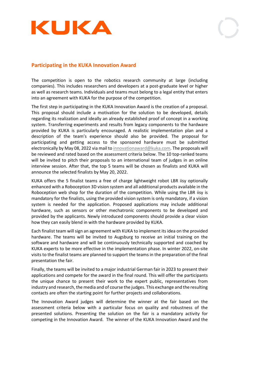

### **Participating in the KUKA Innovation Award**

The competition is open to the robotics research community at large (including companies). This includes researchers and developers at a post-graduate level or higher as well as research teams. Individuals and teams must belong to a legal entity that enters into an agreement with KUKA for the purpose of the competition.

The first step in participating in the KUKA Innovation Award is the creation of a proposal. This proposal should include a motivation for the solution to be developed, details regarding its realization and ideally an already established proof of concept in a working system. Transferring experiments and results from legacy components to the hardware provided by KUKA is particularly encouraged. A realistic implementation plan and a description of the team's experience should also be provided. The proposal for participating and getting access to the sponsored hardware must be submitted electronically by May 08, 2022 via mail t[o innovationaward@kuka.com.](mailto:innovationaward@kuka.com) The proposals will be reviewed and rated based on the assessment criteria below. The 10 top-ranked teams will be invited to pitch their proposals to an international team of judges in an online interview session. After that, the top 5 teams will be chosen as finalists and KUKA will announce the selected finalists by May 20, 2022.

KUKA offers the 5 finalist teams a free of charge lightweight robot LBR iisy optionally enhanced with a Roboception 3D vision system and all additional products available in the Roboception web shop for the duration of the competition*.* While using the LBR iisy is mandatory for the finalists, using the provided vision system is only mandatory, if a vision system is needed for the application. Proposed applications may include additional hardware, such as sensors or other mechatronic components to be developed and provided by the applicants. Newly introduced components should provide a clear vision how they can easily blend in with the hardware provided by KUKA.

Each finalist team will sign an agreement with KUKA to implement its idea on the provided hardware. The teams will be invited to Augsburg to receive an initial training on the software and hardware and will be continuously technically supported and coached by KUKA experts to be more effective in the implementation phase. In winter 2022, on-site visits to the finalist teams are planned to support the teams in the preparation of the final presentation the fair.

Finally, the teams will be invited to a major industrial German fair in 2023 to present their applications and compete for the award in the final round. This will offer the participants the unique chance to present their work to the expert public, representatives from industry and research, the media and of course the judges. This exchange and the resulting contacts are often the starting point for further projects and collaborations.

The Innovation Award judges will determine the winner at the fair based on the assessment criteria below with a particular focus on quality and robustness of the presented solutions. Presenting the solution on the fair is a mandatory activity for competing in the Innovation Award. The winner of the KUKA Innovation Award and the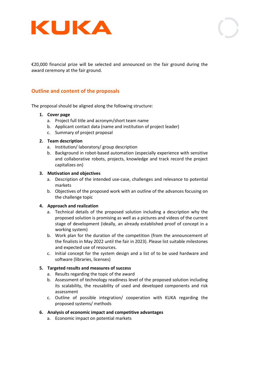



€20,000 financial prize will be selected and announced on the fair ground during the award ceremony at the fair ground.

### **Outline and content of the proposals**

The proposal should be aligned along the following structure:

#### **1. Cover page**

- a. Project full title and acronym/short team name
- b. Applicant contact data (name and institution of project leader)
- c. Summary of project proposal

#### **2. Team description**

- a. Institution/ laboratory/ group description
- b. Background in robot-based automation (especially experience with sensitive and collaborative robots, projects, knowledge and track record the project capitalizes on)

#### **3. Motivation and objectives**

- a. Description of the intended use-case, challenges and relevance to potential markets
- b. Objectives of the proposed work with an outline of the advances focusing on the challenge topic

#### **4. Approach and realization**

- a. Technical details of the proposed solution including a description why the proposed solution is promising as well as a pictures and videos of the current stage of development (ideally, an already established proof of concept in a working system)
- b. Work plan for the duration of the competition (from the announcement of the finalists in May 2022 until the fair in 2023). Please list suitable milestones and expected use of resources.
- c. Initial concept for the system design and a list of to be used hardware and software (libraries, licenses)

#### **5. Targeted results and measures of success**

- a. Results regarding the topic of the award
- b. Assessment of technology readiness level of the proposed solution including its scalability, the reusability of used and developed components and risk assessment
- c. Outline of possible integration/ cooperation with KUKA regarding the proposed systems/ methods

#### **6. Analysis of economic impact and competitive advantages**

a. Economic impact on potential markets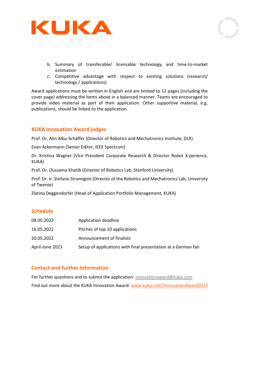

- b. Summary of transferable/ licensable technology and time-to-market estimation
- c. Competitive advantage with respect to existing solutions (research/ technology / applications)

Award applications must be written in English and are limited to 12 pages (including the cover page) addressing the items above in a balanced manner. Teams are encouraged to provide video material as part of their application. Other supportive material, e.g. publications, should be linked to the application.

### **KUKA Innovation Award judges**

Prof. Dr. Alin Albu-Schäffer (Director of Robotics and Mechatronics Institute, DLR)

Evan Ackermann (Senior Editor, IEEE Spectrum)

Dr. Kristina Wagner (Vice President Corporate Research & Director Robot X-perience, KUKA)

Prof. Dr. Oussama Khatib (Director of Robotics Lab, Stanford University)

Prof. Dr. Ir. Stefano Stramigioli (Director of the Robotics and Mechatronics Lab, University of Twente)

Zlatina Deggendorfer (Head of Application Portfolio Management, KUKA)

### **Schedule**

| 08.05.2022      | Application deadline                                           |
|-----------------|----------------------------------------------------------------|
| 16.05.2022      | Pitches of top 10 applications                                 |
| 20.05.2022      | Announcement of finalists                                      |
| April-June 2023 | Setup of applications with final presentation at a German fair |

### **Contact and further information**

For further questions and to submit the application: [innovationaward@kuka.com](mailto:innovationaward@kuka.com) Find out more about the KUKA Innovation Award: [www.kuka.com/InnovationAward2](http://www.kuka.com/InnovationAward)023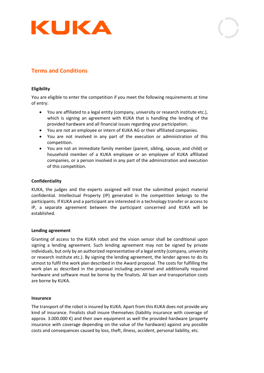

# **Terms and Conditions**

#### **Eligibility**

You are eligible to enter the competition if you meet the following requirements at time of entry:

- You are affiliated to a legal entity (company, university or research institute etc.), which is signing an agreement with KUKA that is handling the lending of the provided hardware and all financial issues regarding your participation.
- You are not an employee or intern of KUKA AG or their affiliated companies.
- You are not involved in any part of the execution or administration of this competition.
- You are not an immediate family member (parent, sibling, spouse, and child) or household member of a KUKA employee or an employee of KUKA affiliated companies, or a person involved in any part of the administration and execution of this competition.

#### **Confidentiality**

KUKA, the judges and the experts assigned will treat the submitted project material confidential. Intellectual Property (IP) generated in the competition belongs to the participants. If KUKA and a participant are interested in a technology transfer or access to IP, a separate agreement between the participant concerned and KUKA will be established.

#### **Lending agreement**

Granting of access to the KUKA robot and the vision sensor shall be conditional upon signing a lending agreement. Such lending agreement may not be signed by private individuals, but only by an authorized representative of a legal entity (company, university or research institute etc.). By signing the lending agreement, the lender agrees to do its utmost to fulfil the work plan described in the Award proposal. The costs for fulfilling the work plan as described in the proposal including personnel and additionally required hardware and software must be borne by the finalists. All loan and transportation costs are borne by KUKA.

#### **Insurance**

The transport of the robot is insured by KUKA. Apart from this KUKA does not provide any kind of insurance. Finalists shall insure themselves (liability insurance with coverage of approx. 3.000.000  $\epsilon$ ) and their own equipment as well the provided hardware (property insurance with coverage depending on the value of the hardware) against any possible costs and consequences caused by loss, theft, illness, accident, personal liability, etc.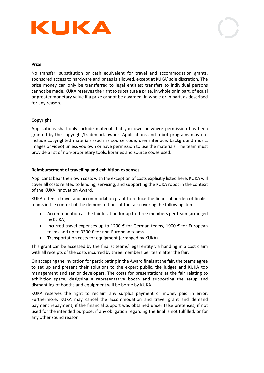

#### **Prize**

No transfer, substitution or cash equivalent for travel and accommodation grants, sponsored access to hardware and prizes is allowed, except at KUKA' sole discretion. The prize money can only be transferred to legal entities; transfers to individual persons cannot be made. KUKA reserves the right to substitute a prize, in whole or in part, of equal or greater monetary value if a prize cannot be awarded, in whole or in part, as described for any reason.

#### **Copyright**

Applications shall only include material that you own or where permission has been granted by the copyright/trademark owner. Applications and robot programs may not include copyrighted materials (such as source code, user interface, background music, images or video) unless you own or have permission to use the materials. The team must provide a list of non-proprietary tools, libraries and source codes used.

#### **Reimbursement of travelling and exhibition expenses**

Applicants bear their own costs with the exception of costs explicitly listed here. KUKA will cover all costs related to lending, servicing, and supporting the KUKA robot in the context of the KUKA Innovation Award.

KUKA offers a travel and accommodation grant to reduce the financial burden of finalist teams in the context of the demonstrations at the fair covering the following items:

- Accommodation at the fair location for up to three members per team (arranged by KUKA)
- Incurred travel expenses up to 1200  $\epsilon$  for German teams, 1900  $\epsilon$  for European teams and up to 3300 € for non-European teams
- Transportation costs for equipment (arranged by KUKA)

This grant can be accessed by the finalist teams' legal entity via handing in a cost claim with all receipts of the costs incurred by three members per team after the fair.

On accepting the invitation for participating in the Award finals at the fair, the teams agree to set up and present their solutions to the expert public, the judges and KUKA top management and senior developers. The costs for presentations at the fair relating to exhibition space, designing a representative booth and supporting the setup and dismantling of booths and equipment will be borne by KUKA.

KUKA reserves the right to reclaim any surplus payment or money paid in error. Furthermore, KUKA may cancel the accommodation and travel grant and demand payment repayment, if the financial support was obtained under false pretenses, if not used for the intended purpose, if any obligation regarding the final is not fulfilled, or for any other sound reason.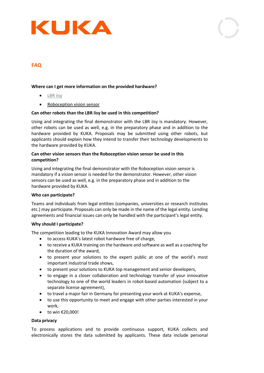

## **FAQ**

#### **Where can I get more information on the provided hardware?**

- [LBR iisy](https://www.kuka.com/en-de/future-production/iiqka/lbr-iisy#Configurator)
- [Roboception vision sensor](https://roboception.com/en/)

#### **Can other robots than the LBR iisy be used in this competition?**

Using and integrating the final demonstrator with the LBR iisy is mandatory. However, other robots can be used as well, e.g. in the preparatory phase and in addition to the hardware provided by KUKA. Proposals may be submitted using other robots, but applicants should explain how they intend to transfer their technology developments to the hardware provided by KUKA.

#### **Can other vision sensors than the Roboception vision sensor be used in this competition?**

Using and integrating the final demonstrator with the Roboception vision sensor is mandatory if a vision sensor is needed for the demonstrator. However, other vision sensors can be used as well, e.g. in the preparatory phase and in addition to the hardware provided by KUKA.

#### **Who can participate?**

Teams and individuals from legal entities (companies, universities or research institutes etc.) may participate. Proposals can only be made in the name of the legal entity. Lending agreements and financial issues can only be handled with the participant's legal entity.

#### **Why should I participate?**

The competition leading to the KUKA Innovation Award may allow you

- to access KUKA's latest robot hardware free of charge,
- to receive a KUKA training on the hardware and software as well as a coaching for the duration of the award,
- to present your solutions to the expert public at one of the world's most important industrial trade shows,
- to present your solutions to KUKA top management and senior developers,
- to engage in a closer collaboration and technology transfer of your innovative technology to one of the world leaders in robot-based automation (subject to a separate license agreement),
- to travel a major fair in Germany for presenting your work at KUKA's expense,
- to use this opportunity to meet and engage with other parties interested in your work,
- to win €20,000!

#### **Data privacy**

To process applications and to provide continuous support, KUKA collects and electronically stores the data submitted by applicants. These data include personal